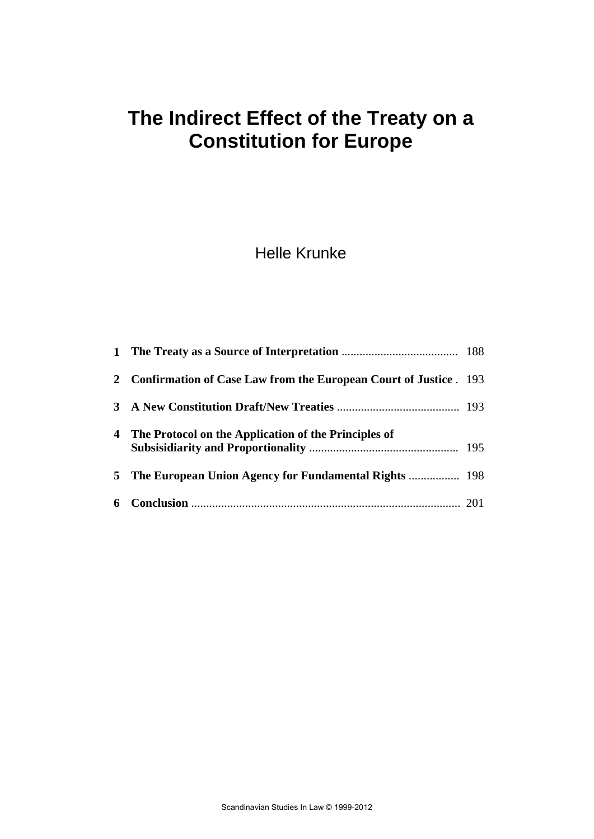# **The Indirect Effect of the Treaty on a Constitution for Europe**

# Helle Krunke

|   | <b>Confirmation of Case Law from the European Court of Justice</b> . 193 |  |
|---|--------------------------------------------------------------------------|--|
| 3 |                                                                          |  |
|   | 4 The Protocol on the Application of the Principles of                   |  |
| 5 |                                                                          |  |
|   |                                                                          |  |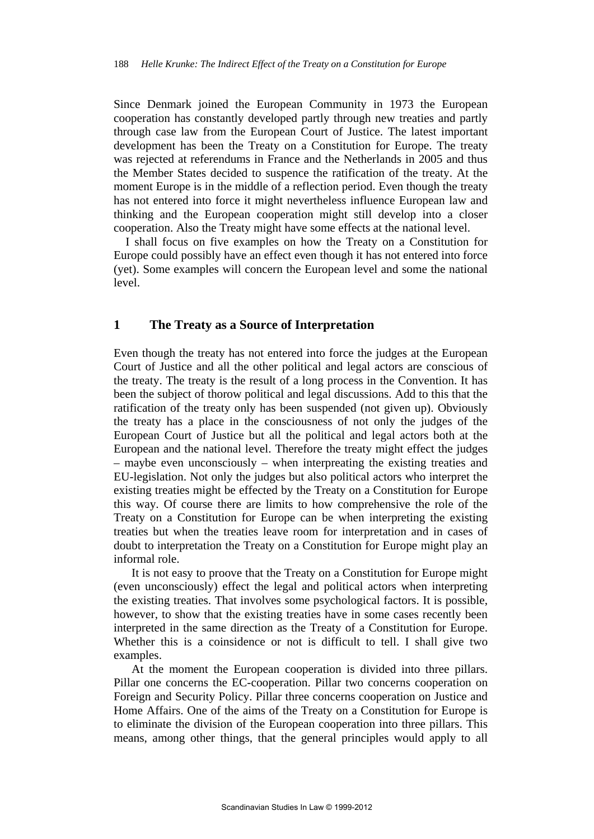Since Denmark joined the European Community in 1973 the European cooperation has constantly developed partly through new treaties and partly through case law from the European Court of Justice. The latest important development has been the Treaty on a Constitution for Europe. The treaty was rejected at referendums in France and the Netherlands in 2005 and thus the Member States decided to suspence the ratification of the treaty. At the moment Europe is in the middle of a reflection period. Even though the treaty has not entered into force it might nevertheless influence European law and thinking and the European cooperation might still develop into a closer cooperation. Also the Treaty might have some effects at the national level.

I shall focus on five examples on how the Treaty on a Constitution for Europe could possibly have an effect even though it has not entered into force (yet). Some examples will concern the European level and some the national level.

## **1 The Treaty as a Source of Interpretation**

Even though the treaty has not entered into force the judges at the European Court of Justice and all the other political and legal actors are conscious of the treaty. The treaty is the result of a long process in the Convention. It has been the subject of thorow political and legal discussions. Add to this that the ratification of the treaty only has been suspended (not given up). Obviously the treaty has a place in the consciousness of not only the judges of the European Court of Justice but all the political and legal actors both at the European and the national level. Therefore the treaty might effect the judges – maybe even unconsciously – when interpreating the existing treaties and EU-legislation. Not only the judges but also political actors who interpret the existing treaties might be effected by the Treaty on a Constitution for Europe this way. Of course there are limits to how comprehensive the role of the Treaty on a Constitution for Europe can be when interpreting the existing treaties but when the treaties leave room for interpretation and in cases of doubt to interpretation the Treaty on a Constitution for Europe might play an informal role.

It is not easy to proove that the Treaty on a Constitution for Europe might (even unconsciously) effect the legal and political actors when interpreting the existing treaties. That involves some psychological factors. It is possible, however, to show that the existing treaties have in some cases recently been interpreted in the same direction as the Treaty of a Constitution for Europe. Whether this is a coinsidence or not is difficult to tell. I shall give two examples.

At the moment the European cooperation is divided into three pillars. Pillar one concerns the EC-cooperation. Pillar two concerns cooperation on Foreign and Security Policy. Pillar three concerns cooperation on Justice and Home Affairs. One of the aims of the Treaty on a Constitution for Europe is to eliminate the division of the European cooperation into three pillars. This means, among other things, that the general principles would apply to all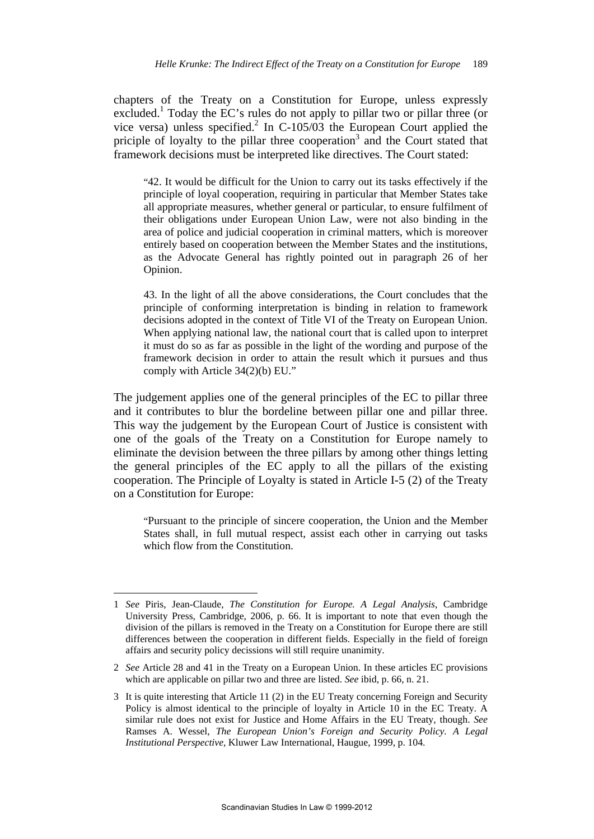chapters of the Treaty on a Constitution for Europe, unless expressly excluded.<sup>1</sup> Today the EC's rules do not apply to pillar two or pillar three (or vice versa) unless specified.<sup>2</sup> In C-105/03 the European Court applied the priciple of loyalty to the pillar three cooperation<sup>3</sup> and the Court stated that framework decisions must be interpreted like directives. The Court stated:

"42. It would be difficult for the Union to carry out its tasks effectively if the principle of loyal cooperation, requiring in particular that Member States take all appropriate measures, whether general or particular, to ensure fulfilment of their obligations under European Union Law, were not also binding in the area of police and judicial cooperation in criminal matters, which is moreover entirely based on cooperation between the Member States and the institutions, as the Advocate General has rightly pointed out in paragraph 26 of her Opinion.

43. In the light of all the above considerations, the Court concludes that the principle of conforming interpretation is binding in relation to framework decisions adopted in the context of Title VI of the Treaty on European Union. When applying national law, the national court that is called upon to interpret it must do so as far as possible in the light of the wording and purpose of the framework decision in order to attain the result which it pursues and thus comply with Article 34(2)(b) EU."

The judgement applies one of the general principles of the EC to pillar three and it contributes to blur the bordeline between pillar one and pillar three. This way the judgement by the European Court of Justice is consistent with one of the goals of the Treaty on a Constitution for Europe namely to eliminate the devision between the three pillars by among other things letting the general principles of the EC apply to all the pillars of the existing cooperation. The Principle of Loyalty is stated in Article I-5 (2) of the Treaty on a Constitution for Europe:

"Pursuant to the principle of sincere cooperation, the Union and the Member States shall, in full mutual respect, assist each other in carrying out tasks which flow from the Constitution.

<sup>1</sup> *See* Piris, Jean-Claude, *The Constitution for Europe. A Legal Analysis*, Cambridge University Press, Cambridge, 2006, p. 66. It is important to note that even though the division of the pillars is removed in the Treaty on a Constitution for Europe there are still differences between the cooperation in different fields. Especially in the field of foreign affairs and security policy decissions will still require unanimity.

<sup>2</sup> *See* Article 28 and 41 in the Treaty on a European Union. In these articles EC provisions which are applicable on pillar two and three are listed. *See* ibid, p. 66, n. 21.

<sup>3</sup> It is quite interesting that Article 11 (2) in the EU Treaty concerning Foreign and Security Policy is almost identical to the principle of loyalty in Article 10 in the EC Treaty. A similar rule does not exist for Justice and Home Affairs in the EU Treaty, though. *See* Ramses A. Wessel, *The European Union's Foreign and Security Policy. A Legal Institutional Perspective*, Kluwer Law International, Haugue, 1999, p. 104.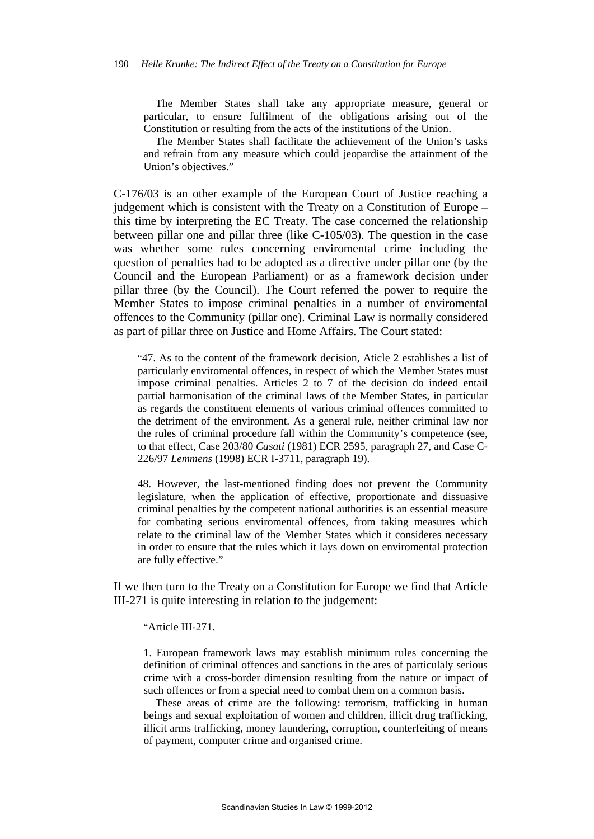The Member States shall take any appropriate measure, general or particular, to ensure fulfilment of the obligations arising out of the Constitution or resulting from the acts of the institutions of the Union.

The Member States shall facilitate the achievement of the Union's tasks and refrain from any measure which could jeopardise the attainment of the Union's objectives."

C-176/03 is an other example of the European Court of Justice reaching a judgement which is consistent with the Treaty on a Constitution of Europe – this time by interpreting the EC Treaty. The case concerned the relationship between pillar one and pillar three (like C-105/03). The question in the case was whether some rules concerning enviromental crime including the question of penalties had to be adopted as a directive under pillar one (by the Council and the European Parliament) or as a framework decision under pillar three (by the Council). The Court referred the power to require the Member States to impose criminal penalties in a number of enviromental offences to the Community (pillar one). Criminal Law is normally considered as part of pillar three on Justice and Home Affairs. The Court stated:

"47. As to the content of the framework decision, Aticle 2 establishes a list of particularly enviromental offences, in respect of which the Member States must impose criminal penalties. Articles 2 to 7 of the decision do indeed entail partial harmonisation of the criminal laws of the Member States, in particular as regards the constituent elements of various criminal offences committed to the detriment of the environment. As a general rule, neither criminal law nor the rules of criminal procedure fall within the Community's competence (see, to that effect, Case 203/80 *Casati* (1981) ECR 2595, paragraph 27, and Case C-226/97 *Lemmens* (1998) ECR I-3711, paragraph 19).

48. However, the last-mentioned finding does not prevent the Community legislature, when the application of effective, proportionate and dissuasive criminal penalties by the competent national authorities is an essential measure for combating serious enviromental offences, from taking measures which relate to the criminal law of the Member States which it consideres necessary in order to ensure that the rules which it lays down on enviromental protection are fully effective."

If we then turn to the Treaty on a Constitution for Europe we find that Article III-271 is quite interesting in relation to the judgement:

"Article III-271.

1. European framework laws may establish minimum rules concerning the definition of criminal offences and sanctions in the ares of particulaly serious crime with a cross-border dimension resulting from the nature or impact of such offences or from a special need to combat them on a common basis.

These areas of crime are the following: terrorism, trafficking in human beings and sexual exploitation of women and children, illicit drug trafficking, illicit arms trafficking, money laundering, corruption, counterfeiting of means of payment, computer crime and organised crime.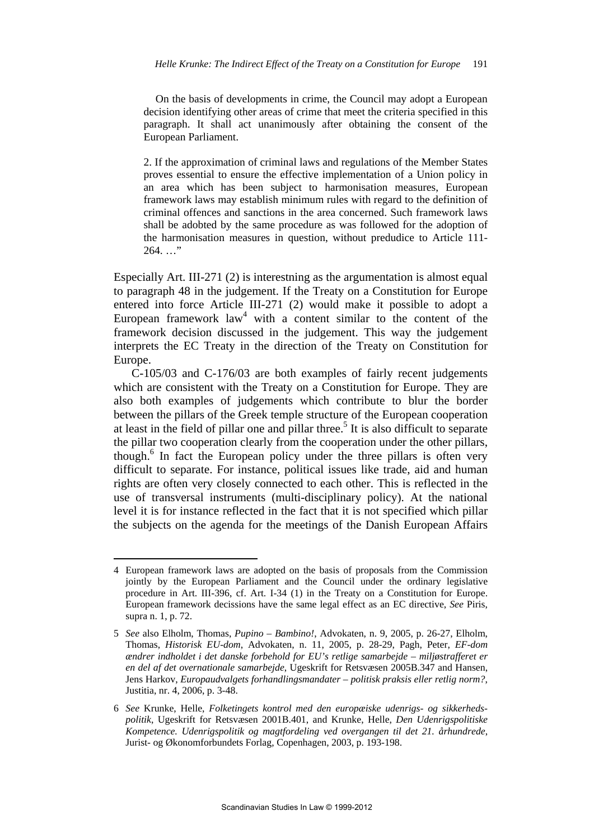On the basis of developments in crime, the Council may adopt a European decision identifying other areas of crime that meet the criteria specified in this paragraph. It shall act unanimously after obtaining the consent of the European Parliament.

2. If the approximation of criminal laws and regulations of the Member States proves essential to ensure the effective implementation of a Union policy in an area which has been subject to harmonisation measures, European framework laws may establish minimum rules with regard to the definition of criminal offences and sanctions in the area concerned. Such framework laws shall be adobted by the same procedure as was followed for the adoption of the harmonisation measures in question, without predudice to Article 111-  $264.$  ..."

Especially Art. III-271 (2) is interestning as the argumentation is almost equal to paragraph 48 in the judgement. If the Treaty on a Constitution for Europe entered into force Article III-271 (2) would make it possible to adopt a European framework  $law<sup>4</sup>$  with a content similar to the content of the framework decision discussed in the judgement. This way the judgement interprets the EC Treaty in the direction of the Treaty on Constitution for Europe.

 C-105/03 and C-176/03 are both examples of fairly recent judgements which are consistent with the Treaty on a Constitution for Europe. They are also both examples of judgements which contribute to blur the border between the pillars of the Greek temple structure of the European cooperation at least in the field of pillar one and pillar three.<sup>5</sup> It is also difficult to separate the pillar two cooperation clearly from the cooperation under the other pillars, though.<sup>6</sup> In fact the European policy under the three pillars is often very difficult to separate. For instance, political issues like trade, aid and human rights are often very closely connected to each other. This is reflected in the use of transversal instruments (multi-disciplinary policy). At the national level it is for instance reflected in the fact that it is not specified which pillar the subjects on the agenda for the meetings of the Danish European Affairs

<sup>4</sup> European framework laws are adopted on the basis of proposals from the Commission jointly by the European Parliament and the Council under the ordinary legislative procedure in Art. III-396, cf. Art. I-34 (1) in the Treaty on a Constitution for Europe. European framework decissions have the same legal effect as an EC directive, *See* Piris, supra n. 1, p. 72.

<sup>5</sup> *See* also Elholm, Thomas, *Pupino – Bambino!*, Advokaten, n. 9, 2005, p. 26-27, Elholm, Thomas, *Historisk EU-dom*, Advokaten, n. 11, 2005, p. 28-29, Pagh, Peter, *EF-dom ændrer indholdet i det danske forbehold for EU's retlige samarbejde – miljøstrafferet er en del af det overnationale samarbejde*, Ugeskrift for Retsvæsen 2005B.347 and Hansen, Jens Harkov, *Europaudvalgets forhandlingsmandater – politisk praksis eller retlig norm?*, Justitia, nr. 4, 2006, p. 3-48.

<sup>6</sup> *See* Krunke, Helle, *Folketingets kontrol med den europæiske udenrigs- og sikkerhedspolitik*, Ugeskrift for Retsvæsen 2001B.401, and Krunke, Helle, *Den Udenrigspolitiske Kompetence. Udenrigspolitik og magtfordeling ved overgangen til det 21. århundrede*, Jurist- og Økonomforbundets Forlag, Copenhagen, 2003, p. 193-198.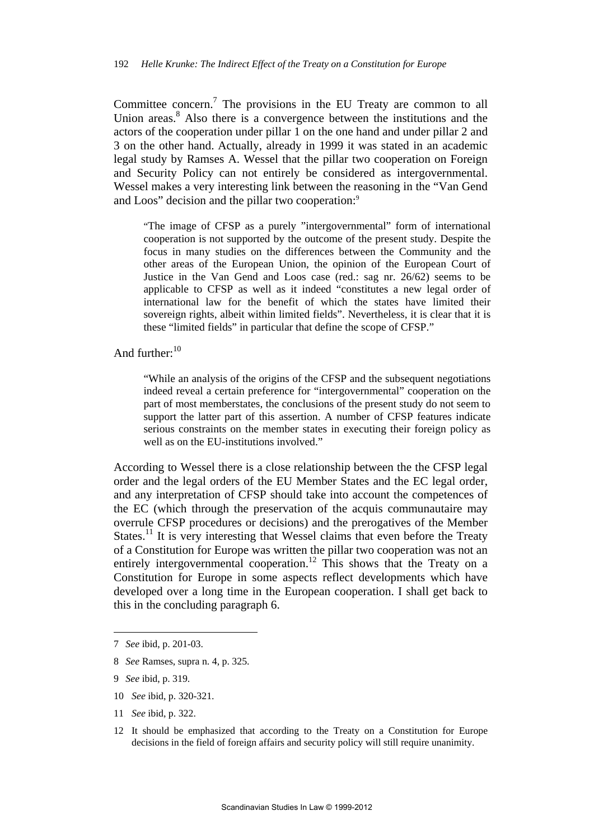Committee concern.<sup>7</sup> The provisions in the EU Treaty are common to all Union areas.<sup>8</sup> Also there is a convergence between the institutions and the actors of the cooperation under pillar 1 on the one hand and under pillar 2 and 3 on the other hand. Actually, already in 1999 it was stated in an academic legal study by Ramses A. Wessel that the pillar two cooperation on Foreign and Security Policy can not entirely be considered as intergovernmental. Wessel makes a very interesting link between the reasoning in the "Van Gend and Loos" decision and the pillar two cooperation:<sup>9</sup>

"The image of CFSP as a purely "intergovernmental" form of international cooperation is not supported by the outcome of the present study. Despite the focus in many studies on the differences between the Community and the other areas of the European Union, the opinion of the European Court of Justice in the Van Gend and Loos case (red.: sag nr. 26/62) seems to be applicable to CFSP as well as it indeed "constitutes a new legal order of international law for the benefit of which the states have limited their sovereign rights, albeit within limited fields". Nevertheless, it is clear that it is these "limited fields" in particular that define the scope of CFSP."

And further:<sup>10</sup>

"While an analysis of the origins of the CFSP and the subsequent negotiations indeed reveal a certain preference for "intergovernmental" cooperation on the part of most memberstates, the conclusions of the present study do not seem to support the latter part of this assertion. A number of CFSP features indicate serious constraints on the member states in executing their foreign policy as well as on the EU-institutions involved."

According to Wessel there is a close relationship between the the CFSP legal order and the legal orders of the EU Member States and the EC legal order, and any interpretation of CFSP should take into account the competences of the EC (which through the preservation of the acquis communautaire may overrule CFSP procedures or decisions) and the prerogatives of the Member States.<sup>11</sup> It is very interesting that Wessel claims that even before the Treaty of a Constitution for Europe was written the pillar two cooperation was not an entirely intergovernmental cooperation.<sup>12</sup> This shows that the Treaty on a Constitution for Europe in some aspects reflect developments which have developed over a long time in the European cooperation. I shall get back to this in the concluding paragraph 6.

7 *See* ibid, p. 201-03.

- 8 *See* Ramses, supra n. 4, p. 325.
- 9 *See* ibid, p. 319.

- 10 *See* ibid, p. 320-321.
- 11 *See* ibid, p. 322.
- 12 It should be emphasized that according to the Treaty on a Constitution for Europe decisions in the field of foreign affairs and security policy will still require unanimity.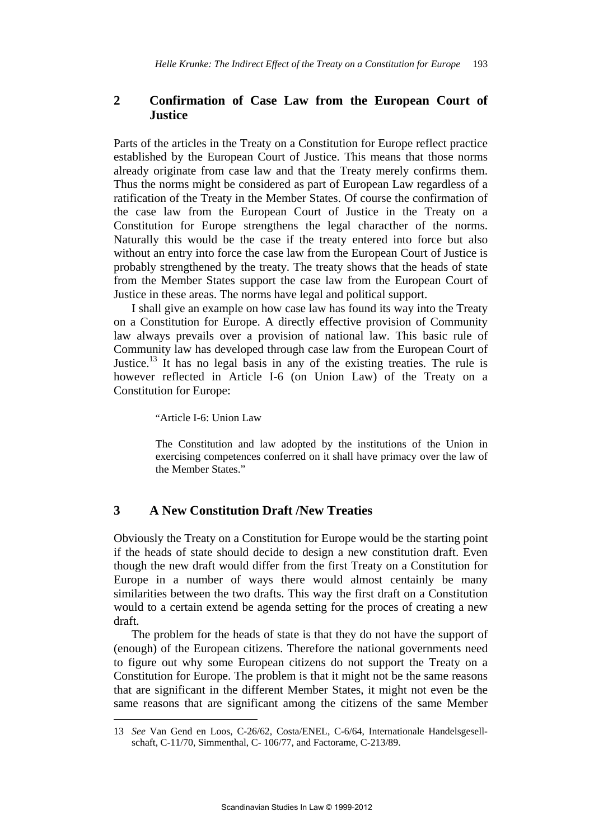# **2 Confirmation of Case Law from the European Court of Justice**

Parts of the articles in the Treaty on a Constitution for Europe reflect practice established by the European Court of Justice. This means that those norms already originate from case law and that the Treaty merely confirms them. Thus the norms might be considered as part of European Law regardless of a ratification of the Treaty in the Member States. Of course the confirmation of the case law from the European Court of Justice in the Treaty on a Constitution for Europe strengthens the legal characther of the norms. Naturally this would be the case if the treaty entered into force but also without an entry into force the case law from the European Court of Justice is probably strengthened by the treaty. The treaty shows that the heads of state from the Member States support the case law from the European Court of Justice in these areas. The norms have legal and political support.

I shall give an example on how case law has found its way into the Treaty on a Constitution for Europe. A directly effective provision of Community law always prevails over a provision of national law. This basic rule of Community law has developed through case law from the European Court of Justice.<sup>13</sup> It has no legal basis in any of the existing treaties. The rule is however reflected in Article I-6 (on Union Law) of the Treaty on a Constitution for Europe:

"Article I-6: Union Law

1

The Constitution and law adopted by the institutions of the Union in exercising competences conferred on it shall have primacy over the law of the Member States."

#### **3 A New Constitution Draft /New Treaties**

Obviously the Treaty on a Constitution for Europe would be the starting point if the heads of state should decide to design a new constitution draft. Even though the new draft would differ from the first Treaty on a Constitution for Europe in a number of ways there would almost centainly be many similarities between the two drafts. This way the first draft on a Constitution would to a certain extend be agenda setting for the proces of creating a new draft.

The problem for the heads of state is that they do not have the support of (enough) of the European citizens. Therefore the national governments need to figure out why some European citizens do not support the Treaty on a Constitution for Europe. The problem is that it might not be the same reasons that are significant in the different Member States, it might not even be the same reasons that are significant among the citizens of the same Member

<sup>13</sup> *See* Van Gend en Loos, C-26/62, Costa/ENEL, C-6/64, Internationale Handelsgesellschaft, C-11/70, Simmenthal, C- 106/77, and Factorame, C-213/89.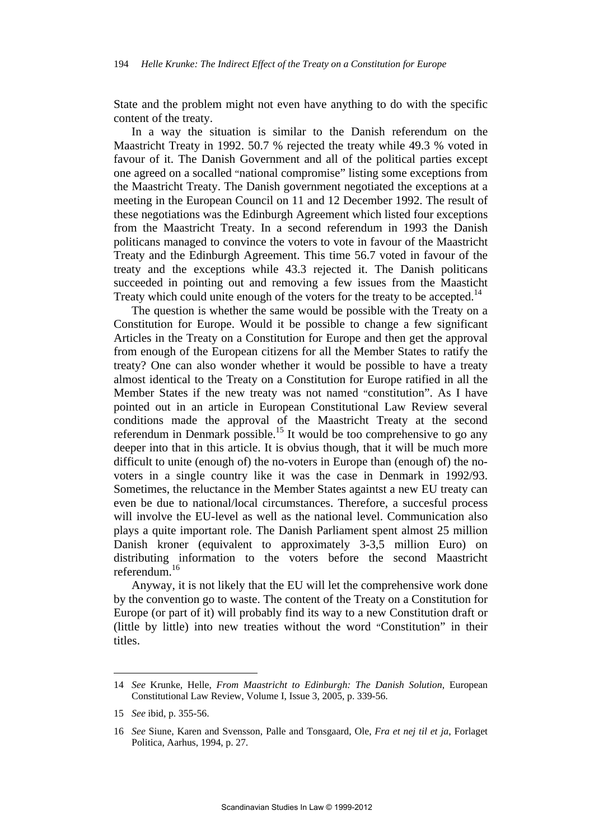State and the problem might not even have anything to do with the specific content of the treaty.

In a way the situation is similar to the Danish referendum on the Maastricht Treaty in 1992. 50.7 % rejected the treaty while 49.3 % voted in favour of it. The Danish Government and all of the political parties except one agreed on a socalled "national compromise" listing some exceptions from the Maastricht Treaty. The Danish government negotiated the exceptions at a meeting in the European Council on 11 and 12 December 1992. The result of these negotiations was the Edinburgh Agreement which listed four exceptions from the Maastricht Treaty. In a second referendum in 1993 the Danish politicans managed to convince the voters to vote in favour of the Maastricht Treaty and the Edinburgh Agreement. This time 56.7 voted in favour of the treaty and the exceptions while 43.3 rejected it. The Danish politicans succeeded in pointing out and removing a few issues from the Maasticht Treaty which could unite enough of the voters for the treaty to be accepted.<sup>14</sup>

The question is whether the same would be possible with the Treaty on a Constitution for Europe. Would it be possible to change a few significant Articles in the Treaty on a Constitution for Europe and then get the approval from enough of the European citizens for all the Member States to ratify the treaty? One can also wonder whether it would be possible to have a treaty almost identical to the Treaty on a Constitution for Europe ratified in all the Member States if the new treaty was not named "constitution". As I have pointed out in an article in European Constitutional Law Review several conditions made the approval of the Maastricht Treaty at the second referendum in Denmark possible.<sup>15</sup> It would be too comprehensive to go any deeper into that in this article. It is obvius though, that it will be much more difficult to unite (enough of) the no-voters in Europe than (enough of) the novoters in a single country like it was the case in Denmark in 1992/93. Sometimes, the reluctance in the Member States againtst a new EU treaty can even be due to national/local circumstances. Therefore, a succesful process will involve the EU-level as well as the national level. Communication also plays a quite important role. The Danish Parliament spent almost 25 million Danish kroner (equivalent to approximately 3-3,5 million Euro) on distributing information to the voters before the second Maastricht referendum.<sup>16</sup>

Anyway, it is not likely that the EU will let the comprehensive work done by the convention go to waste. The content of the Treaty on a Constitution for Europe (or part of it) will probably find its way to a new Constitution draft or (little by little) into new treaties without the word "Constitution" in their titles.

<sup>14</sup> *See* Krunke, Helle, *From Maastricht to Edinburgh: The Danish Solution*, European Constitutional Law Review, Volume I, Issue 3, 2005, p. 339-56.

<sup>15</sup> *See* ibid, p. 355-56.

<sup>16</sup> *See* Siune, Karen and Svensson, Palle and Tonsgaard, Ole, *Fra et nej til et ja*, Forlaget Politica, Aarhus, 1994, p. 27.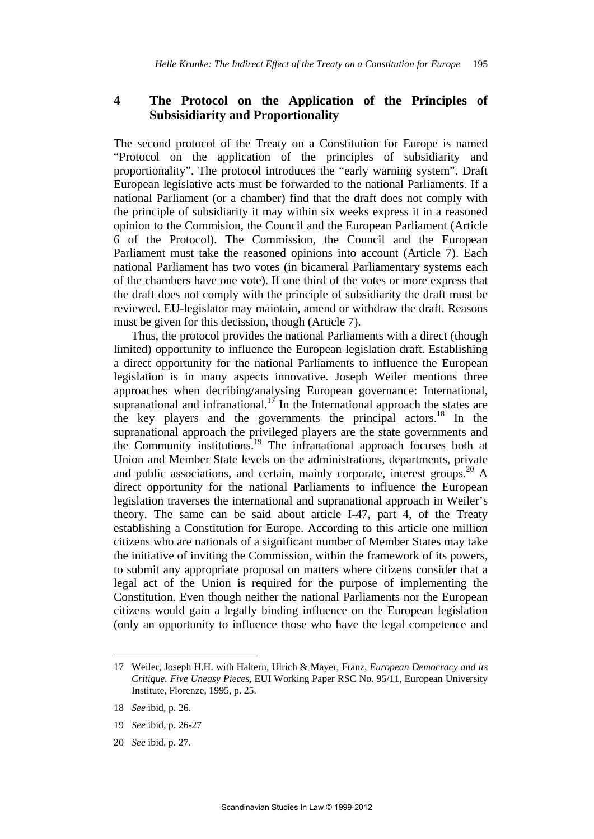## **4 The Protocol on the Application of the Principles of Subsisidiarity and Proportionality**

The second protocol of the Treaty on a Constitution for Europe is named "Protocol on the application of the principles of subsidiarity and proportionality". The protocol introduces the "early warning system". Draft European legislative acts must be forwarded to the national Parliaments. If a national Parliament (or a chamber) find that the draft does not comply with the principle of subsidiarity it may within six weeks express it in a reasoned opinion to the Commision, the Council and the European Parliament (Article 6 of the Protocol). The Commission, the Council and the European Parliament must take the reasoned opinions into account (Article 7). Each national Parliament has two votes (in bicameral Parliamentary systems each of the chambers have one vote). If one third of the votes or more express that the draft does not comply with the principle of subsidiarity the draft must be reviewed. EU-legislator may maintain, amend or withdraw the draft. Reasons must be given for this decission, though (Article 7).

 Thus, the protocol provides the national Parliaments with a direct (though limited) opportunity to influence the European legislation draft. Establishing a direct opportunity for the national Parliaments to influence the European legislation is in many aspects innovative. Joseph Weiler mentions three approaches when decribing/analysing European governance: International, supranational and infranational.<sup>17</sup> In the International approach the states are the key players and the governments the principal actors.<sup>18</sup> In the supranational approach the privileged players are the state governments and the Community institutions.<sup>19</sup> The infranational approach focuses both at Union and Member State levels on the administrations, departments, private and public associations, and certain, mainly corporate, interest groups.<sup>20</sup> A direct opportunity for the national Parliaments to influence the European legislation traverses the international and supranational approach in Weiler's theory. The same can be said about article I-47, part 4, of the Treaty establishing a Constitution for Europe. According to this article one million citizens who are nationals of a significant number of Member States may take the initiative of inviting the Commission, within the framework of its powers, to submit any appropriate proposal on matters where citizens consider that a legal act of the Union is required for the purpose of implementing the Constitution. Even though neither the national Parliaments nor the European citizens would gain a legally binding influence on the European legislation (only an opportunity to influence those who have the legal competence and

- 19 *See* ibid, p. 26-27
- 20 *See* ibid, p. 27.

<sup>17</sup> Weiler, Joseph H.H. with Haltern, Ulrich & Mayer, Franz, *European Democracy and its Critique. Five Uneasy Pieces*, EUI Working Paper RSC No. 95/11, European University Institute, Florenze, 1995, p. 25.

<sup>18</sup> *See* ibid, p. 26.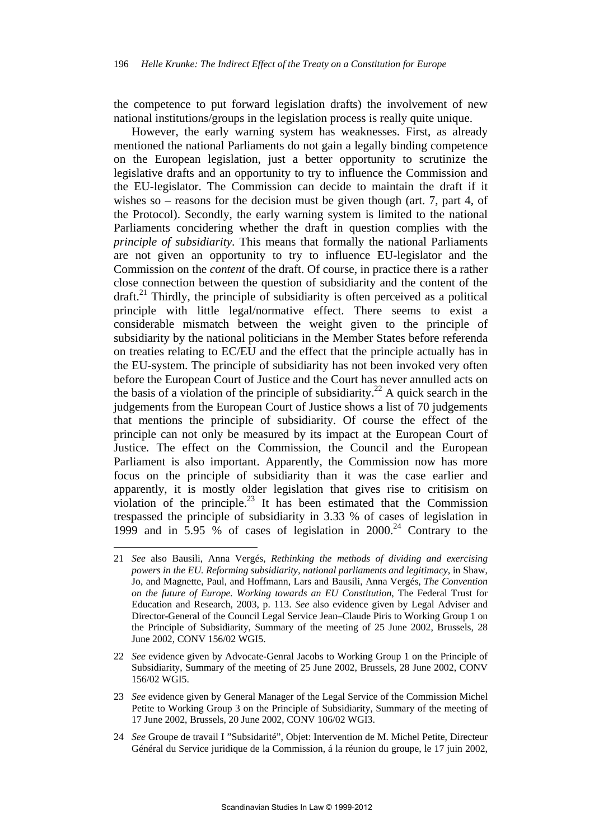the competence to put forward legislation drafts) the involvement of new national institutions/groups in the legislation process is really quite unique.

 However, the early warning system has weaknesses. First, as already mentioned the national Parliaments do not gain a legally binding competence on the European legislation, just a better opportunity to scrutinize the legislative drafts and an opportunity to try to influence the Commission and the EU-legislator. The Commission can decide to maintain the draft if it wishes so – reasons for the decision must be given though (art. 7, part 4, of the Protocol). Secondly, the early warning system is limited to the national Parliaments concidering whether the draft in question complies with the *principle of subsidiarity*. This means that formally the national Parliaments are not given an opportunity to try to influence EU-legislator and the Commission on the *content* of the draft. Of course, in practice there is a rather close connection between the question of subsidiarity and the content of the  $dr$ draft.<sup>21</sup> Thirdly, the principle of subsidiarity is often perceived as a political principle with little legal/normative effect. There seems to exist a considerable mismatch between the weight given to the principle of subsidiarity by the national politicians in the Member States before referenda on treaties relating to EC/EU and the effect that the principle actually has in the EU-system. The principle of subsidiarity has not been invoked very often before the European Court of Justice and the Court has never annulled acts on the basis of a violation of the principle of subsidiarity.<sup>22</sup> A quick search in the judgements from the European Court of Justice shows a list of 70 judgements that mentions the principle of subsidiarity. Of course the effect of the principle can not only be measured by its impact at the European Court of Justice. The effect on the Commission, the Council and the European Parliament is also important. Apparently, the Commission now has more focus on the principle of subsidiarity than it was the case earlier and apparently, it is mostly older legislation that gives rise to critisism on violation of the principle. $^{23}$  It has been estimated that the Commission trespassed the principle of subsidiarity in 3.33 % of cases of legislation in 1999 and in 5.95 % of cases of legislation in 2000.<sup>24</sup> Contrary to the

- 23 *See* evidence given by General Manager of the Legal Service of the Commission Michel Petite to Working Group 3 on the Principle of Subsidiarity, Summary of the meeting of 17 June 2002, Brussels, 20 June 2002, CONV 106/02 WGI3.
- 24 *See* Groupe de travail I "Subsidarité", Objet: Intervention de M. Michel Petite, Directeur Général du Service juridique de la Commission, á la réunion du groupe, le 17 juin 2002,

<sup>21</sup> *See* also Bausili, Anna Vergés, *Rethinking the methods of dividing and exercising powers in the EU. Reforming subsidiarity, national parliaments and legitimacy*, in Shaw, Jo, and Magnette, Paul, and Hoffmann, Lars and Bausili, Anna Vergés, *The Convention on the future of Europe. Working towards an EU Constitution*, The Federal Trust for Education and Research, 2003, p. 113. *See* also evidence given by Legal Adviser and Director-General of the Council Legal Service Jean–Claude Piris to Working Group 1 on the Principle of Subsidiarity, Summary of the meeting of 25 June 2002, Brussels, 28 June 2002, CONV 156/02 WGI5.

<sup>22</sup> *See* evidence given by Advocate-Genral Jacobs to Working Group 1 on the Principle of Subsidiarity, Summary of the meeting of 25 June 2002, Brussels, 28 June 2002, CONV 156/02 WGI5.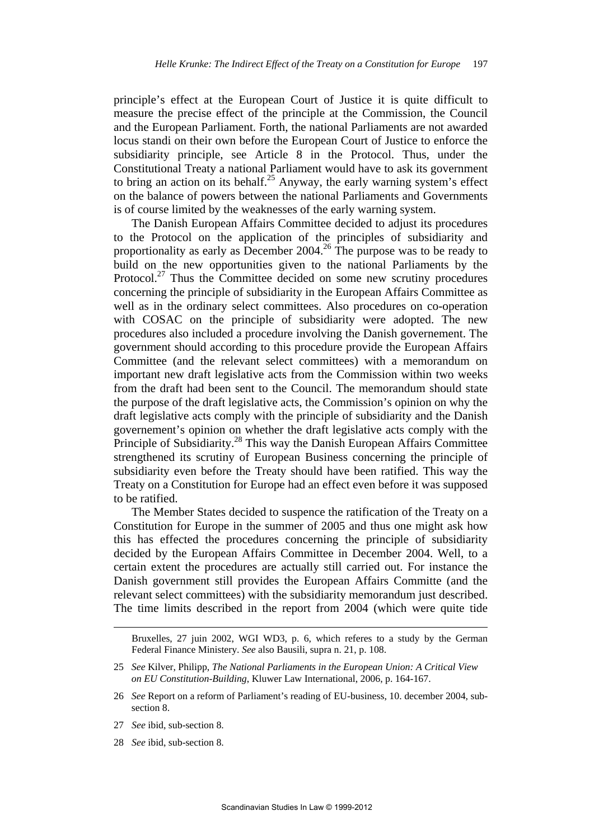principle's effect at the European Court of Justice it is quite difficult to measure the precise effect of the principle at the Commission, the Council and the European Parliament. Forth, the national Parliaments are not awarded locus standi on their own before the European Court of Justice to enforce the subsidiarity principle, see Article 8 in the Protocol. Thus, under the Constitutional Treaty a national Parliament would have to ask its government to bring an action on its behalf.<sup>25</sup> Anyway, the early warning system's effect on the balance of powers between the national Parliaments and Governments is of course limited by the weaknesses of the early warning system.

The Danish European Affairs Committee decided to adjust its procedures to the Protocol on the application of the principles of subsidiarity and proportionality as early as December 2004.<sup>26</sup> The purpose was to be ready to build on the new opportunities given to the national Parliaments by the Protocol.<sup>27</sup> Thus the Committee decided on some new scrutiny procedures concerning the principle of subsidiarity in the European Affairs Committee as well as in the ordinary select committees. Also procedures on co-operation with COSAC on the principle of subsidiarity were adopted. The new procedures also included a procedure involving the Danish governement. The government should according to this procedure provide the European Affairs Committee (and the relevant select committees) with a memorandum on important new draft legislative acts from the Commission within two weeks from the draft had been sent to the Council. The memorandum should state the purpose of the draft legislative acts, the Commission's opinion on why the draft legislative acts comply with the principle of subsidiarity and the Danish governement's opinion on whether the draft legislative acts comply with the Principle of Subsidiarity.<sup>28</sup> This way the Danish European Affairs Committee strengthened its scrutiny of European Business concerning the principle of subsidiarity even before the Treaty should have been ratified. This way the Treaty on a Constitution for Europe had an effect even before it was supposed to be ratified.

The Member States decided to suspence the ratification of the Treaty on a Constitution for Europe in the summer of 2005 and thus one might ask how this has effected the procedures concerning the principle of subsidiarity decided by the European Affairs Committee in December 2004. Well, to a certain extent the procedures are actually still carried out. For instance the Danish government still provides the European Affairs Committe (and the relevant select committees) with the subsidiarity memorandum just described. The time limits described in the report from 2004 (which were quite tide

- 26 *See* Report on a reform of Parliament's reading of EU-business, 10. december 2004, subsection 8.
- 27 *See* ibid, sub-section 8.
- 28 *See* ibid, sub-section 8.

Bruxelles, 27 juin 2002, WGI WD3, p. 6, which referes to a study by the German Federal Finance Ministery. *See* also Bausili, supra n. 21, p. 108.

<sup>25</sup> *See* Kilver, Philipp, *The National Parliaments in the European Union: A Critical View on EU Constitution-Building*, Kluwer Law International, 2006, p. 164-167.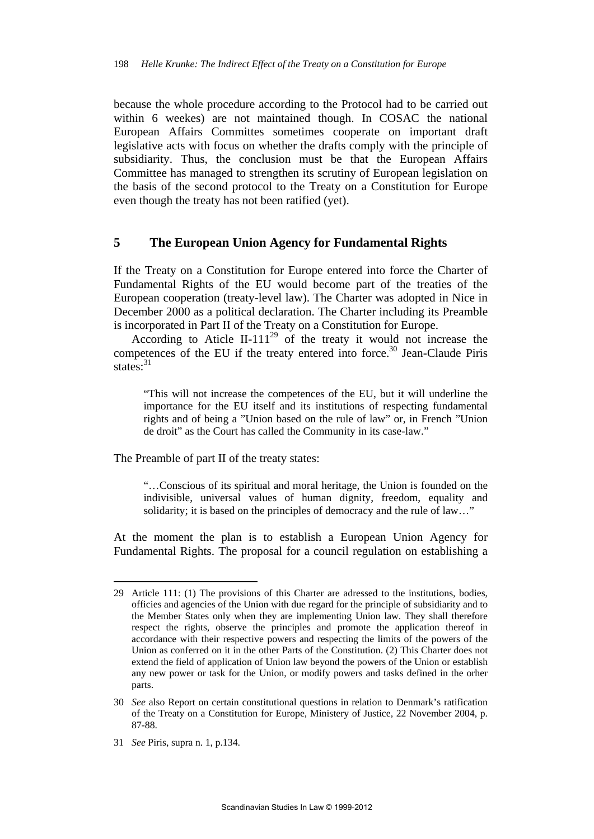because the whole procedure according to the Protocol had to be carried out within 6 weekes) are not maintained though. In COSAC the national European Affairs Committes sometimes cooperate on important draft legislative acts with focus on whether the drafts comply with the principle of subsidiarity. Thus, the conclusion must be that the European Affairs Committee has managed to strengthen its scrutiny of European legislation on the basis of the second protocol to the Treaty on a Constitution for Europe even though the treaty has not been ratified (yet).

#### **5 The European Union Agency for Fundamental Rights**

If the Treaty on a Constitution for Europe entered into force the Charter of Fundamental Rights of the EU would become part of the treaties of the European cooperation (treaty-level law). The Charter was adopted in Nice in December 2000 as a political declaration. The Charter including its Preamble is incorporated in Part II of the Treaty on a Constitution for Europe.

According to Aticle II-111<sup>29</sup> of the treaty it would not increase the competences of the EU if the treaty entered into force.<sup>30</sup> Jean-Claude Piris states:<sup>31</sup>

"This will not increase the competences of the EU, but it will underline the importance for the EU itself and its institutions of respecting fundamental rights and of being a "Union based on the rule of law" or, in French "Union de droit" as the Court has called the Community in its case-law."

The Preamble of part II of the treaty states:

"…Conscious of its spiritual and moral heritage, the Union is founded on the indivisible, universal values of human dignity, freedom, equality and solidarity; it is based on the principles of democracy and the rule of law…"

At the moment the plan is to establish a European Union Agency for Fundamental Rights. The proposal for a council regulation on establishing a

<sup>29</sup> Article 111: (1) The provisions of this Charter are adressed to the institutions, bodies, officies and agencies of the Union with due regard for the principle of subsidiarity and to the Member States only when they are implementing Union law. They shall therefore respect the rights, observe the principles and promote the application thereof in accordance with their respective powers and respecting the limits of the powers of the Union as conferred on it in the other Parts of the Constitution. (2) This Charter does not extend the field of application of Union law beyond the powers of the Union or establish any new power or task for the Union, or modify powers and tasks defined in the orher parts.

<sup>30</sup> *See* also Report on certain constitutional questions in relation to Denmark's ratification of the Treaty on a Constitution for Europe, Ministery of Justice, 22 November 2004, p. 87-88.

<sup>31</sup> *See* Piris, supra n. 1, p.134.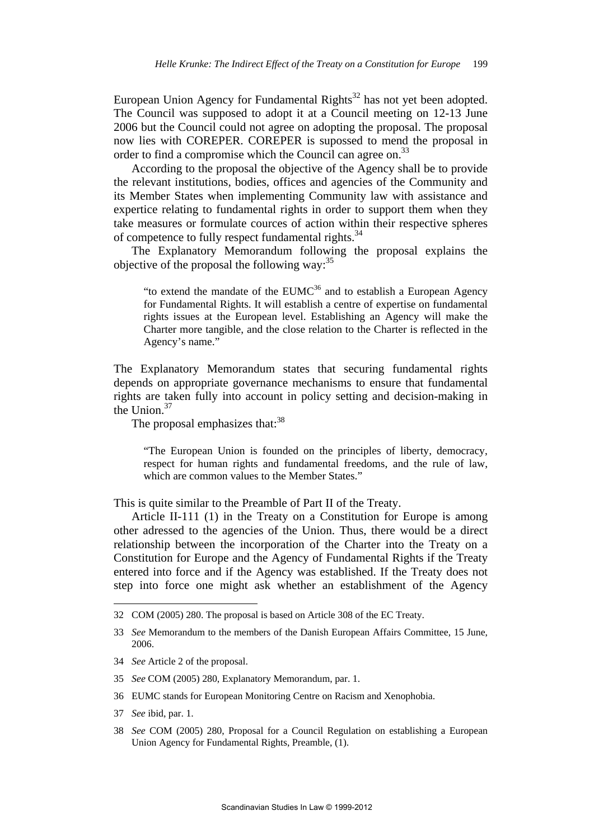European Union Agency for Fundamental Rights<sup>32</sup> has not yet been adopted. The Council was supposed to adopt it at a Council meeting on 12-13 June 2006 but the Council could not agree on adopting the proposal. The proposal now lies with COREPER. COREPER is supossed to mend the proposal in order to find a compromise which the Council can agree on.<sup>33</sup>

According to the proposal the objective of the Agency shall be to provide the relevant institutions, bodies, offices and agencies of the Community and its Member States when implementing Community law with assistance and expertice relating to fundamental rights in order to support them when they take measures or formulate cources of action within their respective spheres of competence to fully respect fundamental rights.<sup>34</sup>

The Explanatory Memorandum following the proposal explains the objective of the proposal the following way:  $35$ 

"to extend the mandate of the  $EUMC^{36}$  and to establish a European Agency for Fundamental Rights. It will establish a centre of expertise on fundamental rights issues at the European level. Establishing an Agency will make the Charter more tangible, and the close relation to the Charter is reflected in the Agency's name."

The Explanatory Memorandum states that securing fundamental rights depends on appropriate governance mechanisms to ensure that fundamental rights are taken fully into account in policy setting and decision-making in the Union.37

The proposal emphasizes that:<sup>38</sup>

"The European Union is founded on the principles of liberty, democracy, respect for human rights and fundamental freedoms, and the rule of law, which are common values to the Member States."

This is quite similar to the Preamble of Part II of the Treaty.

Article II-111 (1) in the Treaty on a Constitution for Europe is among other adressed to the agencies of the Union. Thus, there would be a direct relationship between the incorporation of the Charter into the Treaty on a Constitution for Europe and the Agency of Fundamental Rights if the Treaty entered into force and if the Agency was established. If the Treaty does not step into force one might ask whether an establishment of the Agency

- 34 *See* Article 2 of the proposal.
- 35 *See* COM (2005) 280, Explanatory Memorandum, par. 1.
- 36 EUMC stands for European Monitoring Centre on Racism and Xenophobia.
- 37 *See* ibid, par. 1.

1

38 *See* COM (2005) 280, Proposal for a Council Regulation on establishing a European Union Agency for Fundamental Rights, Preamble, (1).

<sup>32</sup> COM (2005) 280. The proposal is based on Article 308 of the EC Treaty.

<sup>33</sup> *See* Memorandum to the members of the Danish European Affairs Committee, 15 June, 2006.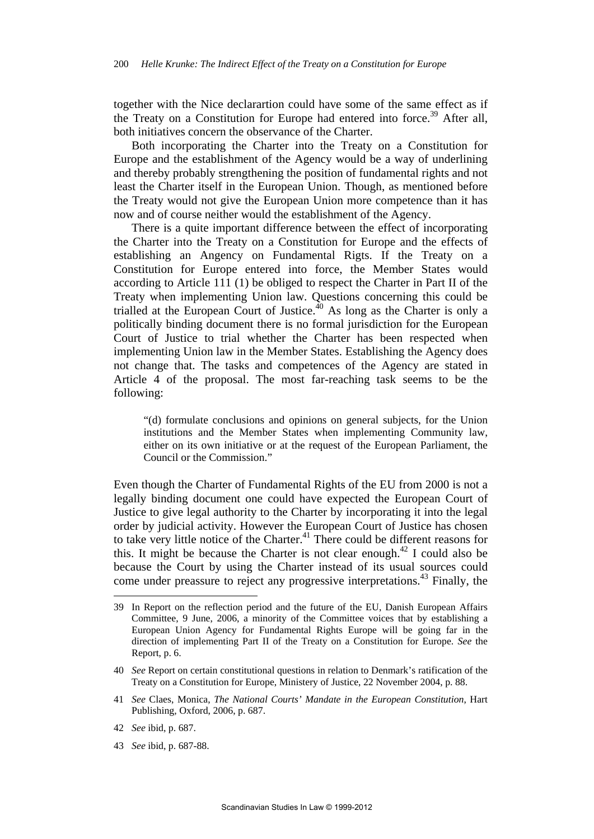together with the Nice declarartion could have some of the same effect as if the Treaty on a Constitution for Europe had entered into force.<sup>39</sup> After all, both initiatives concern the observance of the Charter.

Both incorporating the Charter into the Treaty on a Constitution for Europe and the establishment of the Agency would be a way of underlining and thereby probably strengthening the position of fundamental rights and not least the Charter itself in the European Union. Though, as mentioned before the Treaty would not give the European Union more competence than it has now and of course neither would the establishment of the Agency.

There is a quite important difference between the effect of incorporating the Charter into the Treaty on a Constitution for Europe and the effects of establishing an Angency on Fundamental Rigts. If the Treaty on a Constitution for Europe entered into force, the Member States would according to Article 111 (1) be obliged to respect the Charter in Part II of the Treaty when implementing Union law. Questions concerning this could be trialled at the European Court of Justice. $^{40}$  As long as the Charter is only a politically binding document there is no formal jurisdiction for the European Court of Justice to trial whether the Charter has been respected when implementing Union law in the Member States. Establishing the Agency does not change that. The tasks and competences of the Agency are stated in Article 4 of the proposal. The most far-reaching task seems to be the following:

"(d) formulate conclusions and opinions on general subjects, for the Union institutions and the Member States when implementing Community law, either on its own initiative or at the request of the European Parliament, the Council or the Commission."

Even though the Charter of Fundamental Rights of the EU from 2000 is not a legally binding document one could have expected the European Court of Justice to give legal authority to the Charter by incorporating it into the legal order by judicial activity. However the European Court of Justice has chosen to take very little notice of the Charter. $41$  There could be different reasons for this. It might be because the Charter is not clear enough.<sup>42</sup> I could also be because the Court by using the Charter instead of its usual sources could come under preassure to reject any progressive interpretations.<sup>43</sup> Finally, the

42 *See* ibid, p. 687.

1

43 *See* ibid, p. 687-88.

<sup>39</sup> In Report on the reflection period and the future of the EU, Danish European Affairs Committee, 9 June, 2006, a minority of the Committee voices that by establishing a European Union Agency for Fundamental Rights Europe will be going far in the direction of implementing Part II of the Treaty on a Constitution for Europe. *See* the Report, p. 6.

<sup>40</sup> *See* Report on certain constitutional questions in relation to Denmark's ratification of the Treaty on a Constitution for Europe, Ministery of Justice, 22 November 2004, p. 88.

<sup>41</sup> *See* Claes, Monica, *The National Courts' Mandate in the European Constitution*, Hart Publishing, Oxford, 2006, p. 687.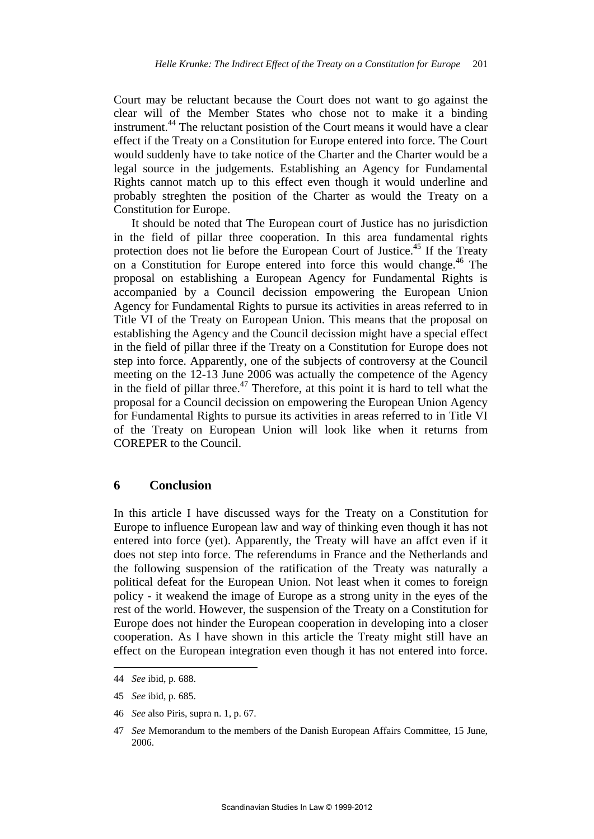Court may be reluctant because the Court does not want to go against the clear will of the Member States who chose not to make it a binding instrument.44 The reluctant posistion of the Court means it would have a clear effect if the Treaty on a Constitution for Europe entered into force. The Court would suddenly have to take notice of the Charter and the Charter would be a legal source in the judgements. Establishing an Agency for Fundamental Rights cannot match up to this effect even though it would underline and probably streghten the position of the Charter as would the Treaty on a Constitution for Europe.

It should be noted that The European court of Justice has no jurisdiction in the field of pillar three cooperation. In this area fundamental rights protection does not lie before the European Court of Justice.45 If the Treaty on a Constitution for Europe entered into force this would change.<sup>46</sup> The proposal on establishing a European Agency for Fundamental Rights is accompanied by a Council decission empowering the European Union Agency for Fundamental Rights to pursue its activities in areas referred to in Title VI of the Treaty on European Union. This means that the proposal on establishing the Agency and the Council decission might have a special effect in the field of pillar three if the Treaty on a Constitution for Europe does not step into force. Apparently, one of the subjects of controversy at the Council meeting on the 12-13 June 2006 was actually the competence of the Agency in the field of pillar three.<sup>47</sup> Therefore, at this point it is hard to tell what the proposal for a Council decission on empowering the European Union Agency for Fundamental Rights to pursue its activities in areas referred to in Title VI of the Treaty on European Union will look like when it returns from COREPER to the Council.

#### **6 Conclusion**

In this article I have discussed ways for the Treaty on a Constitution for Europe to influence European law and way of thinking even though it has not entered into force (yet). Apparently, the Treaty will have an affct even if it does not step into force. The referendums in France and the Netherlands and the following suspension of the ratification of the Treaty was naturally a political defeat for the European Union. Not least when it comes to foreign policy - it weakend the image of Europe as a strong unity in the eyes of the rest of the world. However, the suspension of the Treaty on a Constitution for Europe does not hinder the European cooperation in developing into a closer cooperation. As I have shown in this article the Treaty might still have an effect on the European integration even though it has not entered into force.

1

46 *See* also Piris, supra n. 1, p. 67.

<sup>44</sup> *See* ibid, p. 688.

<sup>45</sup> *See* ibid, p. 685.

<sup>47</sup> *See* Memorandum to the members of the Danish European Affairs Committee, 15 June, 2006.